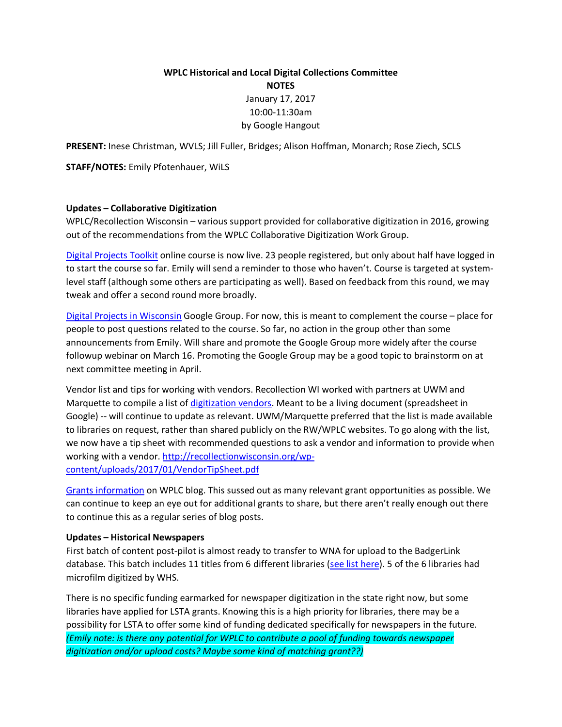# **WPLC Historical and Local Digital Collections Committee NOTES** January 17, 2017 10:00-11:30am by Google Hangout

**PRESENT:** Inese Christman, WVLS; Jill Fuller, Bridges; Alison Hoffman, Monarch; Rose Ziech, SCLS

**STAFF/NOTES:** Emily Pfotenhauer, WiLS

#### **Updates – Collaborative Digitization**

WPLC/Recollection Wisconsin – various support provided for collaborative digitization in 2016, growing out of the recommendations from the WPLC Collaborative Digitization Work Group.

[Digital Projects Toolkit](http://recollection-wisconsin.thinkific.com/users/sign_up) online course is now live. 23 people registered, but only about half have logged in to start the course so far. Emily will send a reminder to those who haven't. Course is targeted at systemlevel staff (although some others are participating as well). Based on feedback from this round, we may tweak and offer a second round more broadly.

[Digital Projects in Wisconsin](https://plus.google.com/communities/116007673318654090931) Google Group. For now, this is meant to complement the course – place for people to post questions related to the course. So far, no action in the group other than some announcements from Emily. Will share and promote the Google Group more widely after the course followup webinar on March 16. Promoting the Google Group may be a good topic to brainstorm on at next committee meeting in April.

Vendor list and tips for working with vendors. Recollection WI worked with partners at UWM and Marquette to compile a list of [digitization vendors.](https://docs.google.com/spreadsheets/d/1mxCHOcrUQVJD9iuD4hLQZB1fVTN5E0f-4glDd7ypJqo/edit?usp=sharing) Meant to be a living document (spreadsheet in Google) -- will continue to update as relevant. UWM/Marquette preferred that the list is made available to libraries on request, rather than shared publicly on the RW/WPLC websites. To go along with the list, we now have a tip sheet with recommended questions to ask a vendor and information to provide when working with a vendor. [http://recollectionwisconsin.org/wp](http://recollectionwisconsin.org/wp-content/uploads/2017/01/VendorTipSheet.pdf)[content/uploads/2017/01/VendorTipSheet.pdf](http://recollectionwisconsin.org/wp-content/uploads/2017/01/VendorTipSheet.pdf)

[Grants information](http://www.wplc.info/taxonomy/term/10) on WPLC blog. This sussed out as many relevant grant opportunities as possible. We can continue to keep an eye out for additional grants to share, but there aren't really enough out there to continue this as a regular series of blog posts.

#### **Updates – Historical Newspapers**

First batch of content post-pilot is almost ready to transfer to WNA for upload to the BadgerLink database. This batch includes 11 titles from 6 different libraries [\(see list here\)](https://docs.google.com/a/wils.org/spreadsheets/d/1yVQjHxNrOMMPx5WGpauVjGq95y5kWmWJgHraY-aa98U/edit?usp=sharing). 5 of the 6 libraries had microfilm digitized by WHS.

There is no specific funding earmarked for newspaper digitization in the state right now, but some libraries have applied for LSTA grants. Knowing this is a high priority for libraries, there may be a possibility for LSTA to offer some kind of funding dedicated specifically for newspapers in the future. *(Emily note: is there any potential for WPLC to contribute a pool of funding towards newspaper digitization and/or upload costs? Maybe some kind of matching grant??)*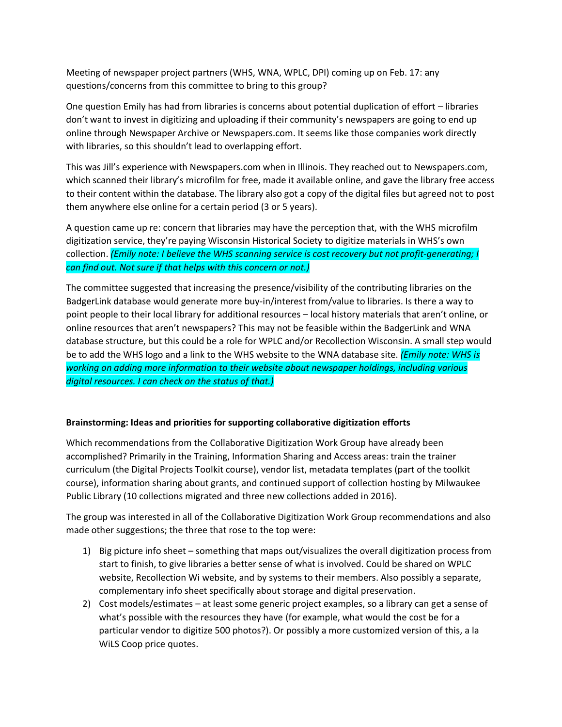Meeting of newspaper project partners (WHS, WNA, WPLC, DPI) coming up on Feb. 17: any questions/concerns from this committee to bring to this group?

One question Emily has had from libraries is concerns about potential duplication of effort – libraries don't want to invest in digitizing and uploading if their community's newspapers are going to end up online through Newspaper Archive or Newspapers.com. It seems like those companies work directly with libraries, so this shouldn't lead to overlapping effort.

This was Jill's experience with Newspapers.com when in Illinois. They reached out to Newspapers.com, which scanned their library's microfilm for free, made it available online, and gave the library free access to their content within the database. The library also got a copy of the digital files but agreed not to post them anywhere else online for a certain period (3 or 5 years).

A question came up re: concern that libraries may have the perception that, with the WHS microfilm digitization service, they're paying Wisconsin Historical Society to digitize materials in WHS's own collection. *(Emily note: I believe the WHS scanning service is cost recovery but not profit-generating; I can find out. Not sure if that helps with this concern or not.)*

The committee suggested that increasing the presence/visibility of the contributing libraries on the BadgerLink database would generate more buy-in/interest from/value to libraries. Is there a way to point people to their local library for additional resources – local history materials that aren't online, or online resources that aren't newspapers? This may not be feasible within the BadgerLink and WNA database structure, but this could be a role for WPLC and/or Recollection Wisconsin. A small step would be to add the WHS logo and a link to the WHS website to the WNA database site. *(Emily note: WHS is working on adding more information to their website about newspaper holdings, including various digital resources. I can check on the status of that.)*

## **Brainstorming: Ideas and priorities for supporting collaborative digitization efforts**

Which recommendations from the Collaborative Digitization Work Group have already been accomplished? Primarily in the Training, Information Sharing and Access areas: train the trainer curriculum (the Digital Projects Toolkit course), vendor list, metadata templates (part of the toolkit course), information sharing about grants, and continued support of collection hosting by Milwaukee Public Library (10 collections migrated and three new collections added in 2016).

The group was interested in all of the Collaborative Digitization Work Group recommendations and also made other suggestions; the three that rose to the top were:

- 1) Big picture info sheet something that maps out/visualizes the overall digitization process from start to finish, to give libraries a better sense of what is involved. Could be shared on WPLC website, Recollection Wi website, and by systems to their members. Also possibly a separate, complementary info sheet specifically about storage and digital preservation.
- 2) Cost models/estimates at least some generic project examples, so a library can get a sense of what's possible with the resources they have (for example, what would the cost be for a particular vendor to digitize 500 photos?). Or possibly a more customized version of this, a la WiLS Coop price quotes.